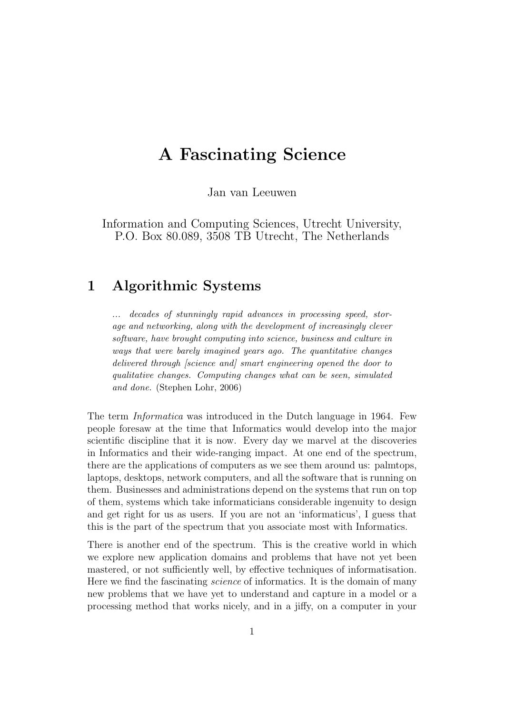# A Fascinating Science

Jan van Leeuwen

Information and Computing Sciences, Utrecht University, P.O. Box 80.089, 3508 TB Utrecht, The Netherlands

## 1 Algorithmic Systems

... decades of stunningly rapid advances in processing speed, storage and networking, along with the development of increasingly clever software, have brought computing into science, business and culture in ways that were barely imagined years ago. The quantitative changes delivered through *[science and]* smart engineering opened the door to qualitative changes. Computing changes what can be seen, simulated and done. (Stephen Lohr, 2006)

The term Informatica was introduced in the Dutch language in 1964. Few people foresaw at the time that Informatics would develop into the major scientific discipline that it is now. Every day we marvel at the discoveries in Informatics and their wide-ranging impact. At one end of the spectrum, there are the applications of computers as we see them around us: palmtops, laptops, desktops, network computers, and all the software that is running on them. Businesses and administrations depend on the systems that run on top of them, systems which take informaticians considerable ingenuity to design and get right for us as users. If you are not an 'informaticus', I guess that this is the part of the spectrum that you associate most with Informatics.

There is another end of the spectrum. This is the creative world in which we explore new application domains and problems that have not yet been mastered, or not sufficiently well, by effective techniques of informatisation. Here we find the fascinating science of informatics. It is the domain of many new problems that we have yet to understand and capture in a model or a processing method that works nicely, and in a jiffy, on a computer in your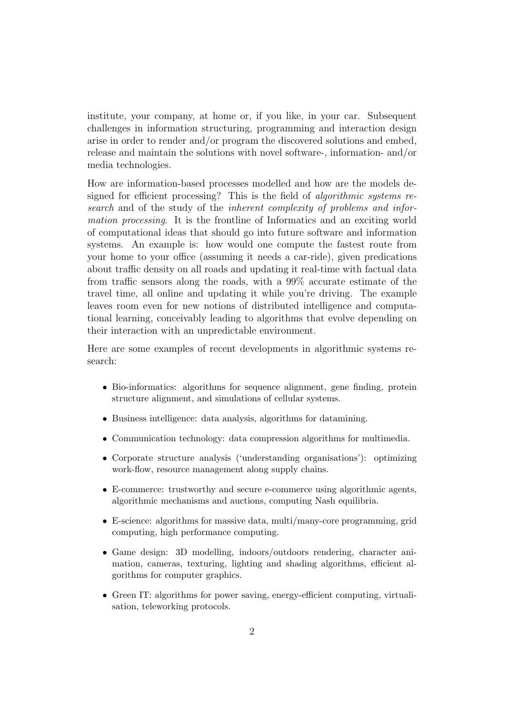institute, your company, at home or, if you like, in your car. Subsequent challenges in information structuring, programming and interaction design arise in order to render and/or program the discovered solutions and embed, release and maintain the solutions with novel software-, information- and/or media technologies.

How are information-based processes modelled and how are the models designed for efficient processing? This is the field of *algorithmic systems re*search and of the study of the *inherent complexity of problems and infor*mation processing. It is the frontline of Informatics and an exciting world of computational ideas that should go into future software and information systems. An example is: how would one compute the fastest route from your home to your office (assuming it needs a car-ride), given predications about traffic density on all roads and updating it real-time with factual data from traffic sensors along the roads, with a 99% accurate estimate of the travel time, all online and updating it while you're driving. The example leaves room even for new notions of distributed intelligence and computational learning, conceivably leading to algorithms that evolve depending on their interaction with an unpredictable environment.

Here are some examples of recent developments in algorithmic systems research:

- Bio-informatics: algorithms for sequence alignment, gene finding, protein structure alignment, and simulations of cellular systems.
- Business intelligence: data analysis, algorithms for datamining.
- Communication technology: data compression algorithms for multimedia.
- Corporate structure analysis ('understanding organisations'): optimizing work-flow, resource management along supply chains.
- E-commerce: trustworthy and secure e-commerce using algorithmic agents, algorithmic mechanisms and auctions, computing Nash equilibria.
- E-science: algorithms for massive data, multi/many-core programming, grid computing, high performance computing.
- Game design: 3D modelling, indoors/outdoors rendering, character animation, cameras, texturing, lighting and shading algorithms, efficient algorithms for computer graphics.
- Green IT: algorithms for power saving, energy-efficient computing, virtualisation, teleworking protocols.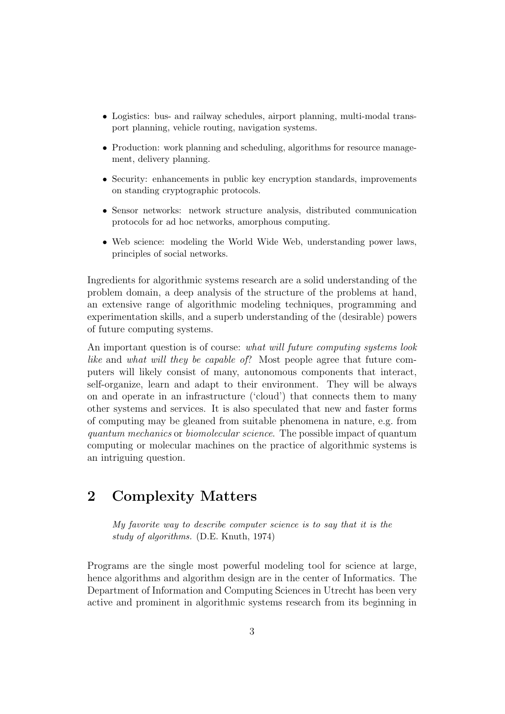- Logistics: bus- and railway schedules, airport planning, multi-modal transport planning, vehicle routing, navigation systems.
- Production: work planning and scheduling, algorithms for resource management, delivery planning.
- Security: enhancements in public key encryption standards, improvements on standing cryptographic protocols.
- Sensor networks: network structure analysis, distributed communication protocols for ad hoc networks, amorphous computing.
- Web science: modeling the World Wide Web, understanding power laws, principles of social networks.

Ingredients for algorithmic systems research are a solid understanding of the problem domain, a deep analysis of the structure of the problems at hand, an extensive range of algorithmic modeling techniques, programming and experimentation skills, and a superb understanding of the (desirable) powers of future computing systems.

An important question is of course: what will future computing systems look like and what will they be capable of? Most people agree that future computers will likely consist of many, autonomous components that interact, self-organize, learn and adapt to their environment. They will be always on and operate in an infrastructure ('cloud') that connects them to many other systems and services. It is also speculated that new and faster forms of computing may be gleaned from suitable phenomena in nature, e.g. from quantum mechanics or biomolecular science. The possible impact of quantum computing or molecular machines on the practice of algorithmic systems is an intriguing question.

### 2 Complexity Matters

My favorite way to describe computer science is to say that it is the study of algorithms. (D.E. Knuth, 1974)

Programs are the single most powerful modeling tool for science at large, hence algorithms and algorithm design are in the center of Informatics. The Department of Information and Computing Sciences in Utrecht has been very active and prominent in algorithmic systems research from its beginning in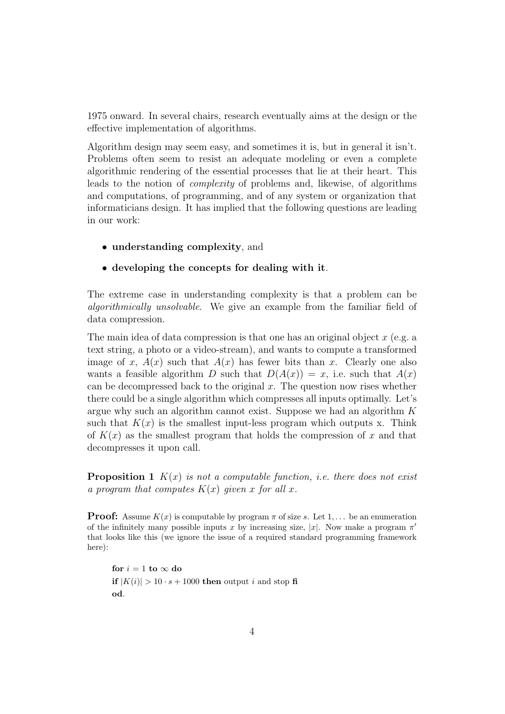1975 onward. In several chairs, research eventually aims at the design or the effective implementation of algorithms.

Algorithm design may seem easy, and sometimes it is, but in general it isn't. Problems often seem to resist an adequate modeling or even a complete algorithmic rendering of the essential processes that lie at their heart. This leads to the notion of complexity of problems and, likewise, of algorithms and computations, of programming, and of any system or organization that informaticians design. It has implied that the following questions are leading in our work:

- understanding complexity, and
- developing the concepts for dealing with it.

The extreme case in understanding complexity is that a problem can be algorithmically unsolvable. We give an example from the familiar field of data compression.

The main idea of data compression is that one has an original object  $x$  (e.g. a text string, a photo or a video-stream), and wants to compute a transformed image of x,  $A(x)$  such that  $A(x)$  has fewer bits than x. Clearly one also wants a feasible algorithm D such that  $D(A(x)) = x$ , i.e. such that  $A(x)$ can be decompressed back to the original  $x$ . The question now rises whether there could be a single algorithm which compresses all inputs optimally. Let's argue why such an algorithm cannot exist. Suppose we had an algorithm  $K$ such that  $K(x)$  is the smallest input-less program which outputs x. Think of  $K(x)$  as the smallest program that holds the compression of x and that decompresses it upon call.

**Proposition 1**  $K(x)$  is not a computable function, i.e. there does not exist a program that computes  $K(x)$  given x for all x.

**Proof:** Assume  $K(x)$  is computable by program  $\pi$  of size s. Let 1, ... be an enumeration of the infinitely many possible inputs x by increasing size, |x|. Now make a program  $\pi'$ that looks like this (we ignore the issue of a required standard programming framework here):

for  $i = 1$  to  $\infty$  do if  $|K(i)| > 10 \cdot s + 1000$  then output i and stop fi od.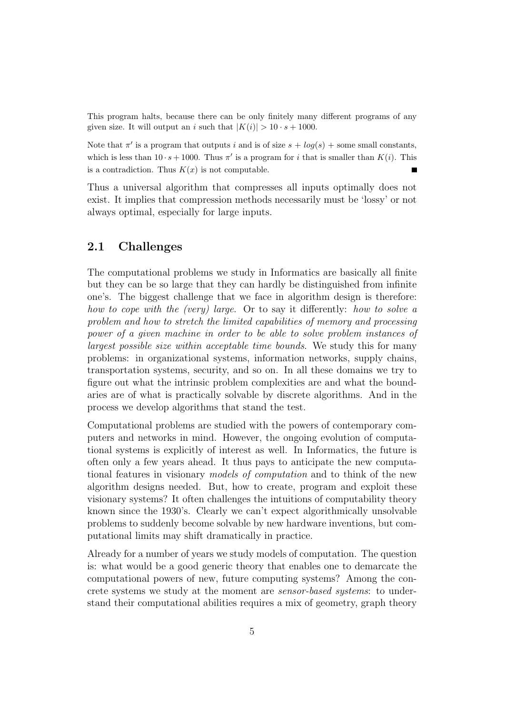This program halts, because there can be only finitely many different programs of any given size. It will output an i such that  $|K(i)| > 10 \cdot s + 1000$ .

Note that  $\pi'$  is a program that outputs i and is of size  $s + log(s) +$  some small constants, which is less than  $10 \cdot s + 1000$ . Thus  $\pi'$  is a program for i that is smaller than  $K(i)$ . This is a contradiction. Thus  $K(x)$  is not computable.

Thus a universal algorithm that compresses all inputs optimally does not exist. It implies that compression methods necessarily must be 'lossy' or not always optimal, especially for large inputs.

### 2.1 Challenges

The computational problems we study in Informatics are basically all finite but they can be so large that they can hardly be distinguished from infinite one's. The biggest challenge that we face in algorithm design is therefore: how to cope with the (very) large. Or to say it differently: how to solve a problem and how to stretch the limited capabilities of memory and processing power of a given machine in order to be able to solve problem instances of largest possible size within acceptable time bounds. We study this for many problems: in organizational systems, information networks, supply chains, transportation systems, security, and so on. In all these domains we try to figure out what the intrinsic problem complexities are and what the boundaries are of what is practically solvable by discrete algorithms. And in the process we develop algorithms that stand the test.

Computational problems are studied with the powers of contemporary computers and networks in mind. However, the ongoing evolution of computational systems is explicitly of interest as well. In Informatics, the future is often only a few years ahead. It thus pays to anticipate the new computational features in visionary models of computation and to think of the new algorithm designs needed. But, how to create, program and exploit these visionary systems? It often challenges the intuitions of computability theory known since the 1930's. Clearly we can't expect algorithmically unsolvable problems to suddenly become solvable by new hardware inventions, but computational limits may shift dramatically in practice.

Already for a number of years we study models of computation. The question is: what would be a good generic theory that enables one to demarcate the computational powers of new, future computing systems? Among the concrete systems we study at the moment are sensor-based systems: to understand their computational abilities requires a mix of geometry, graph theory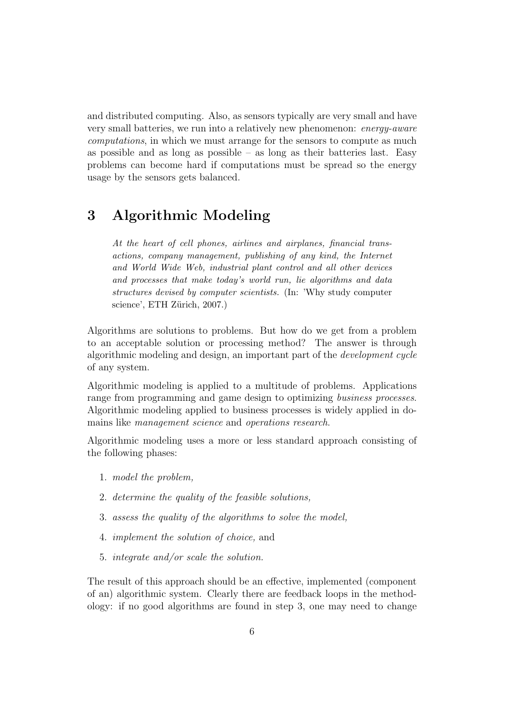and distributed computing. Also, as sensors typically are very small and have very small batteries, we run into a relatively new phenomenon: energy-aware computations, in which we must arrange for the sensors to compute as much as possible and as long as possible – as long as their batteries last. Easy problems can become hard if computations must be spread so the energy usage by the sensors gets balanced.

## 3 Algorithmic Modeling

At the heart of cell phones, airlines and airplanes, financial transactions, company management, publishing of any kind, the Internet and World Wide Web, industrial plant control and all other devices and processes that make today's world run, lie algorithms and data structures devised by computer scientists. (In: 'Why study computer science', ETH Zürich, 2007.)

Algorithms are solutions to problems. But how do we get from a problem to an acceptable solution or processing method? The answer is through algorithmic modeling and design, an important part of the development cycle of any system.

Algorithmic modeling is applied to a multitude of problems. Applications range from programming and game design to optimizing business processes. Algorithmic modeling applied to business processes is widely applied in domains like management science and operations research.

Algorithmic modeling uses a more or less standard approach consisting of the following phases:

- 1. model the problem,
- 2. determine the quality of the feasible solutions,
- 3. assess the quality of the algorithms to solve the model,
- 4. implement the solution of choice, and
- 5. integrate and/or scale the solution.

The result of this approach should be an effective, implemented (component of an) algorithmic system. Clearly there are feedback loops in the methodology: if no good algorithms are found in step 3, one may need to change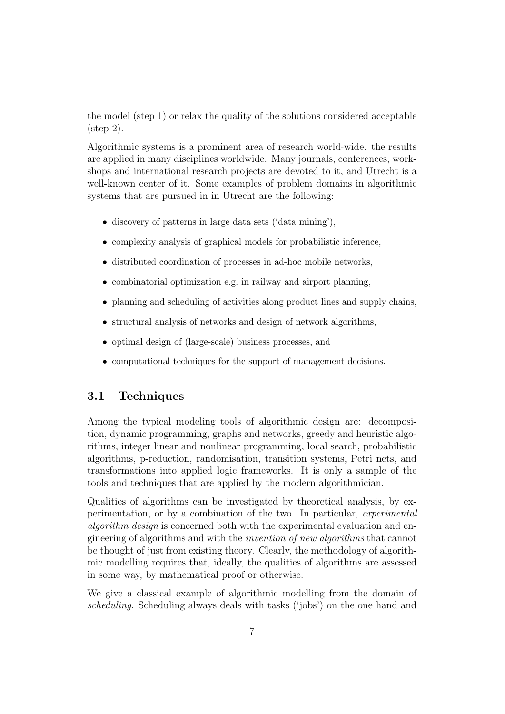the model (step 1) or relax the quality of the solutions considered acceptable (step 2).

Algorithmic systems is a prominent area of research world-wide. the results are applied in many disciplines worldwide. Many journals, conferences, workshops and international research projects are devoted to it, and Utrecht is a well-known center of it. Some examples of problem domains in algorithmic systems that are pursued in in Utrecht are the following:

- discovery of patterns in large data sets ('data mining'),
- complexity analysis of graphical models for probabilistic inference,
- distributed coordination of processes in ad-hoc mobile networks,
- combinatorial optimization e.g. in railway and airport planning,
- planning and scheduling of activities along product lines and supply chains,
- structural analysis of networks and design of network algorithms,
- optimal design of (large-scale) business processes, and
- computational techniques for the support of management decisions.

### 3.1 Techniques

Among the typical modeling tools of algorithmic design are: decomposition, dynamic programming, graphs and networks, greedy and heuristic algorithms, integer linear and nonlinear programming, local search, probabilistic algorithms, p-reduction, randomisation, transition systems, Petri nets, and transformations into applied logic frameworks. It is only a sample of the tools and techniques that are applied by the modern algorithmician.

Qualities of algorithms can be investigated by theoretical analysis, by experimentation, or by a combination of the two. In particular, experimental algorithm design is concerned both with the experimental evaluation and engineering of algorithms and with the invention of new algorithms that cannot be thought of just from existing theory. Clearly, the methodology of algorithmic modelling requires that, ideally, the qualities of algorithms are assessed in some way, by mathematical proof or otherwise.

We give a classical example of algorithmic modelling from the domain of scheduling. Scheduling always deals with tasks ('jobs') on the one hand and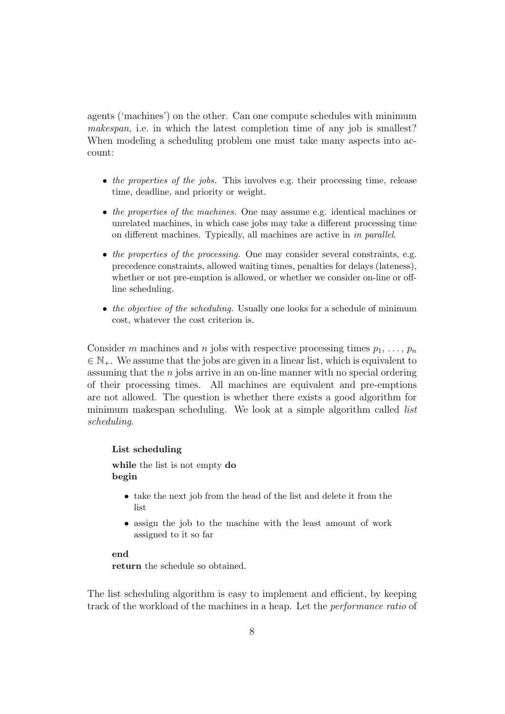agents ('machines') on the other. Can one compute schedules with minimum makespan, i.e. in which the latest completion time of any job is smallest? When modeling a scheduling problem one must take many aspects into account:

- the properties of the jobs. This involves e.g. their processing time, release time, deadline, and priority or weight.
- the properties of the machines. One may assume e.g. identical machines or unrelated machines, in which case jobs may take a different processing time on different machines. Typically, all machines are active in in parallel.
- the properties of the processing. One may consider several constraints, e.g. precedence constraints, allowed waiting times, penalties for delays (lateness), whether or not pre-emption is allowed, or whether we consider on-line or offline scheduling.
- the objective of the scheduling. Usually one looks for a schedule of minimum cost, whatever the cost criterion is.

Consider m machines and n jobs with respective processing times  $p_1, \ldots, p_n$  $\in \mathbb{N}_+$ . We assume that the jobs are given in a linear list, which is equivalent to assuming that the n jobs arrive in an on-line manner with no special ordering of their processing times. All machines are equivalent and pre-emptions are not allowed. The question is whether there exists a good algorithm for minimum makespan scheduling. We look at a simple algorithm called *list* scheduling.

#### List scheduling

while the list is not empty do begin

- take the next job from the head of the list and delete it from the list
- assign the job to the machine with the least amount of work assigned to it so far

#### end

return the schedule so obtained.

The list scheduling algorithm is easy to implement and efficient, by keeping track of the workload of the machines in a heap. Let the performance ratio of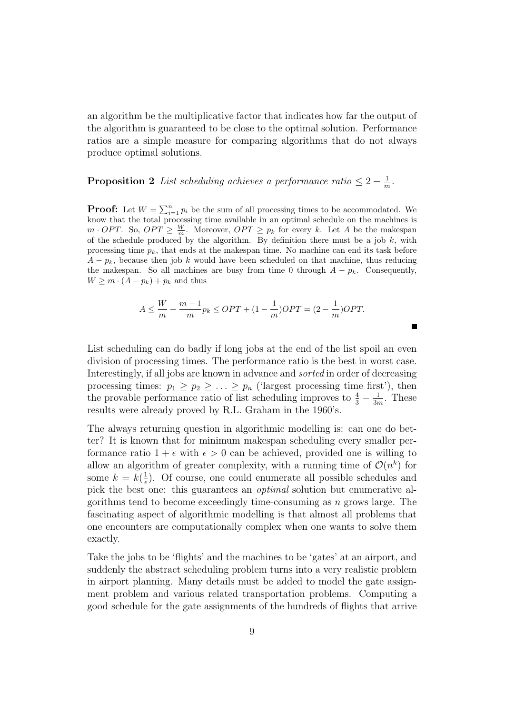an algorithm be the multiplicative factor that indicates how far the output of the algorithm is guaranteed to be close to the optimal solution. Performance ratios are a simple measure for comparing algorithms that do not always produce optimal solutions.

#### **Proposition 2** List scheduling achieves a performance ratio  $\leq 2 - \frac{1}{n}$  $\frac{1}{m}$ .

**Proof:** Let  $W = \sum_{i=1}^{n} p_i$  be the sum of all processing times to be accommodated. We know that the total processing time available in an optimal schedule on the machines is  $m \cdot OPT$ . So,  $OPT \geq \frac{W}{m}$ . Moreover,  $OPT \geq p_k$  for every k. Let A be the makespan of the schedule produced by the algorithm. By definition there must be a job  $k$ , with processing time  $p_k$ , that ends at the makespan time. No machine can end its task before  $A - p_k$ , because then job k would have been scheduled on that machine, thus reducing the makespan. So all machines are busy from time 0 through  $A - p_k$ . Consequently,  $W \geq m \cdot (A - p_k) + p_k$  and thus

$$
A \le \frac{W}{m} + \frac{m-1}{m} p_k \le OPT + (1 - \frac{1}{m}) OPT = (2 - \frac{1}{m}) OPT.
$$

П

List scheduling can do badly if long jobs at the end of the list spoil an even division of processing times. The performance ratio is the best in worst case. Interestingly, if all jobs are known in advance and sorted in order of decreasing processing times:  $p_1 \geq p_2 \geq \ldots \geq p_n$  ('largest processing time first'), then the provable performance ratio of list scheduling improves to  $\frac{4}{3} - \frac{1}{3r}$  $\frac{1}{3m}$ . These results were already proved by R.L. Graham in the 1960's.

The always returning question in algorithmic modelling is: can one do better? It is known that for minimum makespan scheduling every smaller performance ratio  $1 + \epsilon$  with  $\epsilon > 0$  can be achieved, provided one is willing to allow an algorithm of greater complexity, with a running time of  $\mathcal{O}(n^k)$  for some  $k = k(\frac{1}{\epsilon})$  $\frac{1}{\epsilon}$ ). Of course, one could enumerate all possible schedules and pick the best one: this guarantees an optimal solution but enumerative algorithms tend to become exceedingly time-consuming as  $n$  grows large. The fascinating aspect of algorithmic modelling is that almost all problems that one encounters are computationally complex when one wants to solve them exactly.

Take the jobs to be 'flights' and the machines to be 'gates' at an airport, and suddenly the abstract scheduling problem turns into a very realistic problem in airport planning. Many details must be added to model the gate assignment problem and various related transportation problems. Computing a good schedule for the gate assignments of the hundreds of flights that arrive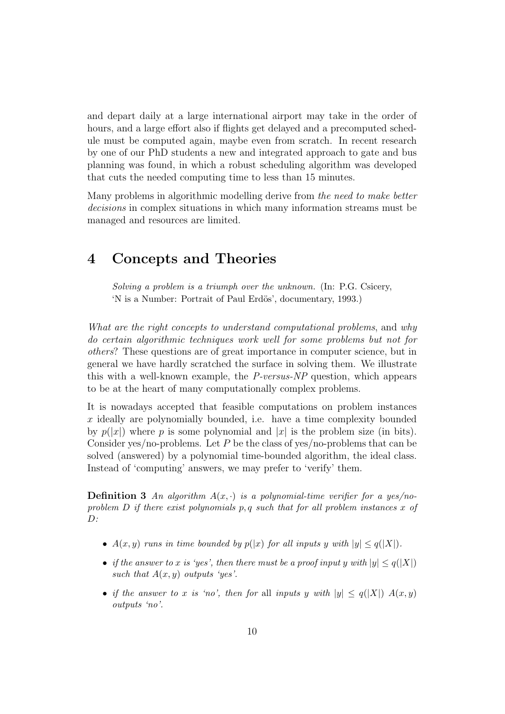and depart daily at a large international airport may take in the order of hours, and a large effort also if flights get delayed and a precomputed schedule must be computed again, maybe even from scratch. In recent research by one of our PhD students a new and integrated approach to gate and bus planning was found, in which a robust scheduling algorithm was developed that cuts the needed computing time to less than 15 minutes.

Many problems in algorithmic modelling derive from the need to make better decisions in complex situations in which many information streams must be managed and resources are limited.

### 4 Concepts and Theories

Solving a problem is a triumph over the unknown. (In: P.G. Csicery, 'N is a Number: Portrait of Paul Erdös', documentary, 1993.)

What are the right concepts to understand computational problems, and why do certain algorithmic techniques work well for some problems but not for others? These questions are of great importance in computer science, but in general we have hardly scratched the surface in solving them. We illustrate this with a well-known example, the P-versus-NP question, which appears to be at the heart of many computationally complex problems.

It is nowadays accepted that feasible computations on problem instances  $x$  ideally are polynomially bounded, i.e. have a time complexity bounded by  $p(|x|)$  where p is some polynomial and |x| is the problem size (in bits). Consider yes/no-problems. Let P be the class of yes/no-problems that can be solved (answered) by a polynomial time-bounded algorithm, the ideal class. Instead of 'computing' answers, we may prefer to 'verify' them.

**Definition 3** An algorithm  $A(x, \cdot)$  is a polynomial-time verifier for a yes/noproblem  $D$  if there exist polynomials  $p, q$  such that for all problem instances x of  $D:$ 

- $A(x, y)$  runs in time bounded by  $p(|x)$  for all inputs y with  $|y| \leq q(|X|)$ .
- if the answer to x is 'yes', then there must be a proof input y with  $|y| \leq q(|X|)$ such that  $A(x, y)$  outputs 'yes'.
- if the answer to x is 'no', then for all inputs y with  $|y| \le q(|X|) A(x,y)$ outputs 'no'.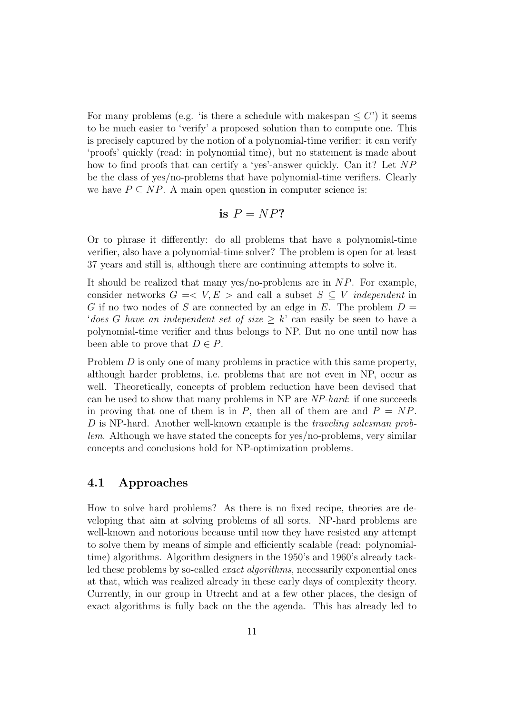For many problems (e.g. 'is there a schedule with makespan  $\leq C'$ ) it seems to be much easier to 'verify' a proposed solution than to compute one. This is precisely captured by the notion of a polynomial-time verifier: it can verify 'proofs' quickly (read: in polynomial time), but no statement is made about how to find proofs that can certify a 'yes'-answer quickly. Can it? Let NP be the class of yes/no-problems that have polynomial-time verifiers. Clearly we have  $P \subseteq NP$ . A main open question in computer science is:

is 
$$
P = NP
$$
?

Or to phrase it differently: do all problems that have a polynomial-time verifier, also have a polynomial-time solver? The problem is open for at least 37 years and still is, although there are continuing attempts to solve it.

It should be realized that many yes/no-problems are in  $NP$ . For example, consider networks  $G = \langle V, E \rangle$  and call a subset  $S \subseteq V$  *independent* in G if no two nodes of S are connected by an edge in E. The problem  $D =$ 'does G have an independent set of size  $\geq k$ ' can easily be seen to have a polynomial-time verifier and thus belongs to NP. But no one until now has been able to prove that  $D \in P$ .

Problem D is only one of many problems in practice with this same property, although harder problems, i.e. problems that are not even in NP, occur as well. Theoretically, concepts of problem reduction have been devised that can be used to show that many problems in NP are NP-hard: if one succeeds in proving that one of them is in  $P$ , then all of them are and  $P = NP$ . D is NP-hard. Another well-known example is the traveling salesman problem. Although we have stated the concepts for yes/no-problems, very similar concepts and conclusions hold for NP-optimization problems.

#### 4.1 Approaches

How to solve hard problems? As there is no fixed recipe, theories are developing that aim at solving problems of all sorts. NP-hard problems are well-known and notorious because until now they have resisted any attempt to solve them by means of simple and efficiently scalable (read: polynomialtime) algorithms. Algorithm designers in the 1950's and 1960's already tackled these problems by so-called exact algorithms, necessarily exponential ones at that, which was realized already in these early days of complexity theory. Currently, in our group in Utrecht and at a few other places, the design of exact algorithms is fully back on the the agenda. This has already led to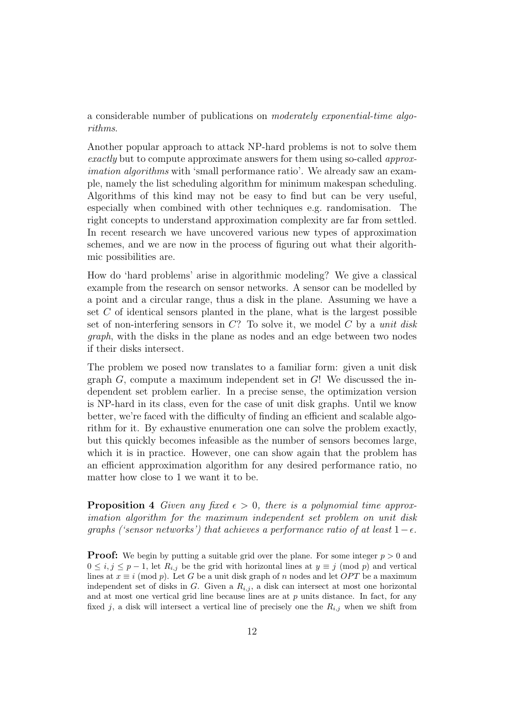a considerable number of publications on moderately exponential-time algorithms.

Another popular approach to attack NP-hard problems is not to solve them exactly but to compute approximate answers for them using so-called approximation algorithms with 'small performance ratio'. We already saw an example, namely the list scheduling algorithm for minimum makespan scheduling. Algorithms of this kind may not be easy to find but can be very useful, especially when combined with other techniques e.g. randomisation. The right concepts to understand approximation complexity are far from settled. In recent research we have uncovered various new types of approximation schemes, and we are now in the process of figuring out what their algorithmic possibilities are.

How do 'hard problems' arise in algorithmic modeling? We give a classical example from the research on sensor networks. A sensor can be modelled by a point and a circular range, thus a disk in the plane. Assuming we have a set  $C$  of identical sensors planted in the plane, what is the largest possible set of non-interfering sensors in  $C$ ? To solve it, we model  $C$  by a unit disk graph, with the disks in the plane as nodes and an edge between two nodes if their disks intersect.

The problem we posed now translates to a familiar form: given a unit disk graph  $G$ , compute a maximum independent set in  $G!$ . We discussed the independent set problem earlier. In a precise sense, the optimization version is NP-hard in its class, even for the case of unit disk graphs. Until we know better, we're faced with the difficulty of finding an efficient and scalable algorithm for it. By exhaustive enumeration one can solve the problem exactly, but this quickly becomes infeasible as the number of sensors becomes large, which it is in practice. However, one can show again that the problem has an efficient approximation algorithm for any desired performance ratio, no matter how close to 1 we want it to be.

**Proposition 4** Given any fixed  $\epsilon > 0$ , there is a polynomial time approximation algorithm for the maximum independent set problem on unit disk graphs ('sensor networks') that achieves a performance ratio of at least  $1-\epsilon$ .

**Proof:** We begin by putting a suitable grid over the plane. For some integer  $p > 0$  and  $0 \le i, j \le p-1$ , let  $R_{i,j}$  be the grid with horizontal lines at  $y \equiv j \pmod{p}$  and vertical lines at  $x \equiv i \pmod{p}$ . Let G be a unit disk graph of n nodes and let OPT be a maximum independent set of disks in G. Given a  $R_{i,j}$ , a disk can intersect at most one horizontal and at most one vertical grid line because lines are at  $p$  units distance. In fact, for any fixed j, a disk will intersect a vertical line of precisely one the  $R_{i,j}$  when we shift from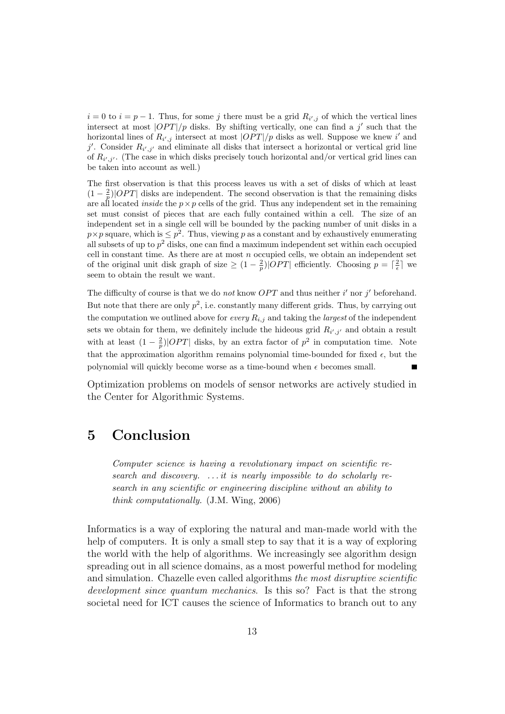$i = 0$  to  $i = p - 1$ . Thus, for some j there must be a grid  $R_{i',j}$  of which the vertical lines intersect at most  $\left|OPT\right/p$  disks. By shifting vertically, one can find a j' such that the horizontal lines of  $R_{i',j}$  intersect at most  $|OPT|/p$  disks as well. Suppose we knew i' and j'. Consider  $R_{i',j'}$  and eliminate all disks that intersect a horizontal or vertical grid line of  $R_{i',j'}$ . (The case in which disks precisely touch horizontal and/or vertical grid lines can be taken into account as well.)

The first observation is that this process leaves us with a set of disks of which at least  $(1 - \frac{2}{p})$ |OPT| disks are independent. The second observation is that the remaining disks are all located *inside* the  $p \times p$  cells of the grid. Thus any independent set in the remaining set must consist of pieces that are each fully contained within a cell. The size of an independent set in a single cell will be bounded by the packing number of unit disks in a  $p \times p$  square, which is  $\leq p^2$ . Thus, viewing p as a constant and by exhaustively enumerating all subsets of up to  $p^2$  disks, one can find a maximum independent set within each occupied cell in constant time. As there are at most  $n$  occupied cells, we obtain an independent set of the original unit disk graph of size  $\geq (1 - \frac{2}{p})|OPT|$  efficiently. Choosing  $p = \lceil \frac{2}{\epsilon} \rceil$  we seem to obtain the result we want.

The difficulty of course is that we do not know  $OPT$  and thus neither i' nor j' beforehand. But note that there are only  $p^2$ , i.e. constantly many different grids. Thus, by carrying out the computation we outlined above for every  $R_{i,j}$  and taking the *largest* of the independent sets we obtain for them, we definitely include the hideous grid  $R_{i',j'}$  and obtain a result with at least  $(1 - \frac{2}{p})$  | OPT | disks, by an extra factor of  $p^2$  in computation time. Note that the approximation algorithm remains polynomial time-bounded for fixed  $\epsilon$ , but the polynomial will quickly become worse as a time-bound when  $\epsilon$  becomes small.

Optimization problems on models of sensor networks are actively studied in the Center for Algorithmic Systems.

### 5 Conclusion

Computer science is having a revolutionary impact on scientific research and discovery. ... it is nearly impossible to do scholarly research in any scientific or engineering discipline without an ability to think computationally. (J.M. Wing, 2006)

Informatics is a way of exploring the natural and man-made world with the help of computers. It is only a small step to say that it is a way of exploring the world with the help of algorithms. We increasingly see algorithm design spreading out in all science domains, as a most powerful method for modeling and simulation. Chazelle even called algorithms the most disruptive scientific development since quantum mechanics. Is this so? Fact is that the strong societal need for ICT causes the science of Informatics to branch out to any